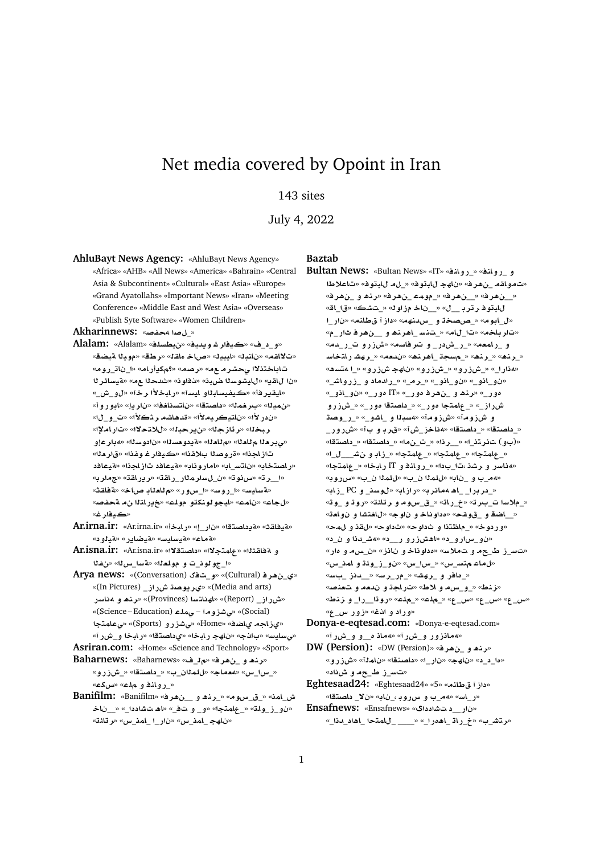# Net media covered by Opoint in Iran

## 143 sites

July 4, 2022

**AhluBayt News Agency:** «AhluBayt News Agency» «Africa» «AHB» «All News» «America» «Bahrain» «Central Asia & Subcontinent» «Cultural» «East Asia» «Europe» «Grand Ayatollahs» «Important News» «Iran» «Meeting Conference» «Middle East and West Asia» «Overseas» «Publish Syte Software» «Women Children»

**Akharinnews:** «**}f¢ }**\_»

- **Alalam:** «Alalam» «**lsWy**» «**yd§w ry**» «\_\_**¤**» «ت'لااقـه» «نانبـلـ» «ليبيـل» «صاخـ ءاقـل» «ر طـــة» «مويـــــا ةيـضــة» تاباختذلاا *يحشر مـ ع*مـ» «رصمـ» «؟مكيأر امـ» «ا\_نات\_رومـ» **r¶AFyT**» « **d**» «**w@**» «**b{ swJyA**» «**§qA** » «ايق<mark>ير فأ» «ڪيفيساب<sup>ر</sup>او ايسآ» «رابخلاًا رخآ» «لو\_ش\_»</mark> «من ميذا» «ب رخم ذا» «داصتـقا» «ناتسناخـفا» «نار يـإ» «ابـو ر و أ» «ندر لأا» «ناتيكريه لأا» «قدهاشه رثكلأا» «ت\_و\_لاا» «**³AC**» «**¯t®**» «**br§**» «**z¶r**» «**br** «بي بر حلا م للحلك» «م للحلك» «قيدو حسنك» «ن ادوسنلك» «هدار عا تاز اجذا» «ةر وصدا بلاقذا» «كيفار غـ وغذا» «قار <del>د</del>له» «راصتخاب» «ناتس\_اب» «اماروناب» «متيعافد تازاجنا» «متيعافد «ا\_رت» «سنوت» «ن\_لسارمذار\_راهت» «ريراهت» «جمارب» «**A» «بايس» «ا\_روس» «ا\_سور» «م للعل**اب صاخ» «ةفاقته «*لجاع»* «نامه» «ايجو لونكةو موله» «خڍراتلا نα متحفصه «كەفارغ»
- **Ar.irna.ir:** «Ar.irna.ir» «**bAC**» «\_**C** » «**tOA §T**» «**qAyT**» «مةماع» «م*قيسايس» «هي*ضاير» «مقيلود»
- **Ar.isna.ir:** «Ar.isna.ir» «**¯tOA** » «**¯tmA**» «**qAT ¤ f**» «**H**\_**FT**» «**`lw ¤** \_**ww**\_»
- **Arya news:** «(Conversation) \_**¤**» «(Cultural) **r¡**\_**©**» «(In Pictures) \_**ECM Ow§r©**» «(Media and arts) «شرراز\_ (Report)» «لهناتسا (Provinces)» «رن**ه و مناسر** «(Science – Education) **lm¨** – **wEJ¨**» «(Social) **tmA¨**» «(Sports) **¤CEJ¨**» «Home» «**SA© AE©**» «*ﻲﺳ*ﺎﻳﺴ» «ﺏﺍﻨﺠ» «ﻥﺎﻫﺠ ﺭ ﺎﺑﺨﺎ» «ﻱﺩﺍﺻﻨﻘﺎ» «ﺭ ﺎﺑﺨﺎ ﻭ\_ﺵﺭ ﺁ»
- **Asriran.com:** «Home» «Science and Technology» «Sport»
- **Baharnews:** «Baharnews» «\_» «**r¡**\_ **¤ ¡nr**» «\_س١\_س» «معماج» «للمذان\_ب» «\_داصتقا» «\_شزرو» « **روان**فو ملاع» «س*2ع*»
- **Banifilm:** «Banifilm» «**r¡**\_\_ **¤ ¡nr**\_» «**wx**\_\_» «**mA**\_**M** «ن و\_ز\_ولمة» «\_علمتجا» «و\_وتف\_» «اهتشاددا\_» «\_ناخـ «**·Ar**» «**x**\_**mA**\_ \_**C** » «**x**\_**mA**\_ **hA** »

#### **Baztab**

- **Bultan News:** «Bultan News» «IT» «**nA¤C**\_» «**nA¤C**\_ **¤** «ت مو اقم \_ن هر ف» «ناهج للمتوف» «\_ل م للمتوف» «ت اعلاطا « **بن هر ف» « بن هر ف» «\_مومت بن هر ف» «رند و \_بن هر ف»** لل**ابتوفر ترب\_\_ل» «\_\_ناخ مزاو له» «\_تشڪ» «ق**ا\_اقه \_**C** » «**nAV E** » «**hndx**\_ **¤ OP**\_» «**wA**\_» «تار باخه» «تا\_لام» «\_تنس\_اهرند و\_\_نهر فا شار\_م» «**d**\_**C**\_ **¤CEM**» «**sAr ¤** \_**C M**\_**C**\_» «**`mAC**\_ **¤** «\_رند» «\_رند» «\_مسجة \_اهرنده» «ندمه» «\_رهشار التخاسا «**¡st¢** \_» «**¤CEM hA** » «**¤CEM**\_» «**¤CEM**\_» «\_**C¢**» «\_**JA¤CE**\_ **¤ dC**\_» «\_**r**\_» «\_**¤A**\_**¤** » «\_**¤A**\_**¤** » «\_**¤A**\_**¤** » «\_**C¤£** IT» «\_**C¤£ r¡**\_ **¤ ¡nr**» «\_**C¤£ ¤CEM**\_» «\_**C¤£ tOA** \_» «\_**C¤£ tmA**\_» «\_**ECM Ow**\_**C**\_» «\_**¤JA**\_ **¤ bs¢**» «**wEM**» «**wEM ¤** «\_داصتقا» «\_داصتقا» «**مناخز\_ش**آ» «قربو و بآ» «شررور\_ «(بو) تفرتن\_ا» «\_\_رنا» «\_ت\_نما» «\_داصتقا» «\_داصتقا» «\_عامتجا» «\_عامتجا» «\_عامتجا» «\_زابو نش\_\_\_ل\_ا» «**هناسر و رشذ ،تا\_بدا» «\_رو انفو IT ر.ابخا» «\_عامتجا»** «هم\_ب و \_ناب» «بالملا ن\_ب» «بالملا ن\_ب» «سرروبه» «\_دربرا\_ \_اهـ aمانرب» «رازابه» «لوسن<sub>ه</sub> و PC \_زابه «\_ملاسا ت\_بـرت» «خ\_ر.اته «\_ق\_سومـ و رتائة» «روتـ و \_وته «\_اضة و \_قوقح» «مداوناخ و ناوج» «ل**اغتشا و ن**وا<del>م</del>ت» «ور دو خ» «\_ماظتذا و ثداو ح» «ثداو ح» «لقذ و لمحه «نو\_سارو\_د» «اهشزرو ر\_\_د» «هش\_دذا و ن\_د» «تس\_ز ط\_حمو تملاس» «مداوناخو نانز» «ن\_سمو مار» «**x**\_**mA ¤ lw**\_**E**\_**¤** » «**x**\_**x**\_» «**x**\_**Ft A**» «\_مافر و \_رهش» «\_م<sub>(\_</sub>رسه» «\_\_دنز \_بسه» «نز نط» «\_و\_س م و لاط» «تار اجة و ندمه و تعنصه «**Vnz ¤** \_**C**\_\_**wC**» «**l**\_» «**l**\_» «\_**x**» «\_**x**» «\_**x**» «وراد و ا**ن**ف» «زور س\_ع»
- **Donya-e-eqtesad.com:** «Donya-e-eqtesad.com» «**مانزور و\_ش ر**آ» «**مان** م\_و و\_ش رآ»
- **DW (Persion):** «DW (Persion)» «**r¡**\_ **¤ ¡nr**» «ه د د» «ناهج» «نار ا» «داصتقا» «نامذآ» «ش زرو» «ت*س\_ز*ط\_حموش(د»
- **Eghtesaad24:** «Eghtesaad24» «5» «5» **Eghtesaad24** «ر\_اس» «ﻪﻣ\_ﺏ ﻭ ﺱﺭﻭڊ ،\_ﻥﺎﺑ» «ﻥﻻ\_ ﺩﺎﺻﺘﻘﺎ» **Ensafnews:** «Ensafnews» «  **J**\_\_**C** »
- «\_**d**\_ **¡A**\_ **tmA**\_ \_\_\_\_» «\_**C£¡A**\_ **AC**\_» «\_**Jtr**»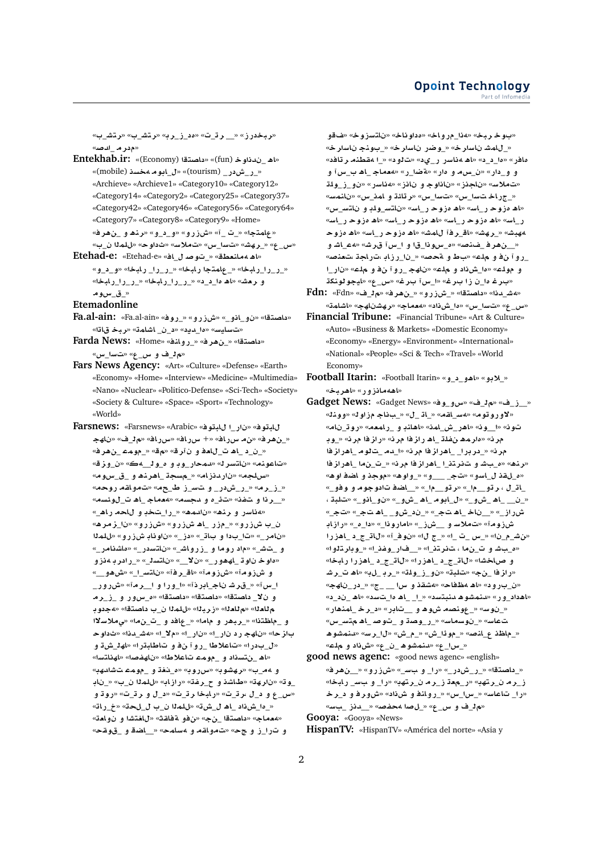«**ربخدرز» «\_\_ رڌ\_ت» «ەد\_ز\_رب» «رتش\_ب» «رتش\_ب»** «م<mark>در م\_ادص</mark>

- **Entekhab.ir:** «(Economy) «داعدة (fun)» «(fun) «داه «(mobile) **s¢ wA**\_» «(tourism) \_**C M**\_**C**\_» «Archieve» «Archieve1» «Category10» «Category12» «Category14» «Category2» «Category25» «Category37» «Category42» «Category46» «Category56» «Category64» «Category7» «Category8» «Category9» «Home» «**r¡**\_ **¤ ¡nr**» «**¤**\_\_**¤**» «**¤CEM**» «\_ \_» «**tmA**»
- «س\_ع» «\_رهش» «تسا\_س» «تملاس» «ثداوح» «للمذا ن\_ب» «اه همانعطق» «\_توص*د ل\_اف» «Etehad-e*: «Etehad-e» «\_ر\_را\_رابخا» «\_عامتجا رابخا» «\_ر\_را\_ رابخا» «و\_د\_و » «**bAC**\_**C**\_**C**\_» «**bAC**\_**C**\_**C**\_» «\_\_**£ ¡A**» «**J`r ¤** « ق\_س0وم

**Etemadonline**

- **Fa.al-ain:** «Fa.al-ain» «**wC**\_» «**¤CEM**» «\_**¤A**\_**¤** » «**tOA** » «تسليس» «ما\_ديد» «د\_ن\_ اشامة» «ربخ قاتا»
- **Farda News:** «Home» «**nA¤C**\_» «**r¡**\_» «**tOA** » «**x**\_**F** » «\_**x ¤** \_»
- **Fars News Agency:** «Art» «Culture» «Defense» «Earth» «Economy» «Home» «Interview» «Medicine» «Multimedia» «Nano» «Nuclear» «Politico-Defense» «Sci-Tech» «Society» «Society & Culture» «Space» «Sport» «Technology» «World»
- **Farsnews:** «Farsnews» «Arabic» «**wbA** \_**C** » «**wbA** «\_نهر ف» «ن.م سرراف» «+ سرراف» «سرراف» «م<mark>الي</mark>ث» «ناهج «\_ن\_د\_اه ت\_للعفو ن آرقه» «مقه» «\_مومت \_ن هر فه «تاعونه» «ناتسر ك» «دمحار\_وڊ و ه\_و ل\_4ڪ» «<u>ن\_و</u>ز قه «**سلجه» «ناردنزام» «\_مسجة \_اهرند و\_ق\_سوم**» «\_ز\_رم» «\_ر\_شدر\_ و ت*تس\_*ز ط\_حم» «تمواقم روحم» «\_\_رذا و ـتـفذ» «تـدْ\_ه و ـدجسهه» «هعمـاجـ\_اهـ ت\_لوشسه» «هناسر و رنف» «نادمه» «\_را\_شخدٍ و للحماراه\_» «**¡rz**\_» «**¤CEM**» «**¤CEM ¡A**\_ **CE**\_» «**¤CEM** \_ «نامر\_» «تا\_بدا و با**ت\_» «دز\_» «ناونا**بـ شزرو» «للملا «\_**CAKA£**» «\_**C FtA** » «\_**JA¤CE**\_ **¤ wC** » «\_**J** \_ **¤ ¤E¢ r C**\_» «\_**stA** » «\_\_**¯** » «\_**C¤¡hA**\_ **w w£**» و شزومآ» «شزومآ» «اق<sub>ـ</sub>رفآ» «ناتس\_ا\_» «شهو\_\_» ا\_س آ» «\_قر شا ناج\_ابر ذآ» «ا\_ورا و ا\_ر مآ» «شروور\_ و نلا\_ داصتقا» «داصتقا» «داصتقا» «ه\_سور و\_ز\_رم م'لام'ا» «م'لام'ا» «زرباله» «للمال ن\_ب داصتقا» «4جدوبا و \_ماظتنا» «\_ربهر و ماما» «\_عافد و \_ت\_نما» «يملاسلاا **w** » «**d**\_**J¢**» «\_**¯**» «\_**C** » «\_**C C hA** » «**z**  «ل\_بدر ا» «تاعلاطا \_رو آ نفو و تاطابةر ا» «اهل\_شة و «اه\_نتسداد و\_مومـّ تاعلاطا» «ناهفصله «لهناتسا» و <mark>مم\_ب» «ر هشوب» «سرروبه «ه\_نغڌ و \_مومء تشادهبه</mark> \_و ت» «نار هة» «طاشذ و ح\_رفة» «رازابه «للملا ن\_ب» «\_نابـ «س\_ع و د\_ل بر ڌ\_ت» «رابخا ر ڌ\_ت» «د\_ل و ر ڌ\_ت» «روڌ و «\_ەا\_شiاد \_اھ ل\_شi» «للمال ن\_ب ل\_لحة» «خ\_راته «<mark>معماج» «داصتقا \_نج» «نفو ةفاقث» «لافتشا و نوامت</mark>» و تراز و ج<» «بتمواقد و 4سلمح» « اضق و \_قوقح»

«بوخ ربخ» «aذا\_مرواخ» «مداوناخ» «ناتسزوخ» «*ف*قو «\_للمشـ ناسار خ» «\_وضر\_ ناسار خ» «\_بـوـنجـ ناسار خ» مافر» «ما\_د\_د» «اهـ مناسر ر\_يد» «تالو د» «\_ا مقطنهـ ر تافد» و و\_دار» «ن\_س⊿ و هار» «**ةضا\_ر» «هعماج\_اھ ب\_س**آ و «تملاسه «ناجذز» «ناذاوج و ناذز» «مناسر» «نو\_ز\_ولة «\_جراخ تسا\_س» «تسا\_س» «رتائة و امذ\_س» «نانمس» «**x**\_**FtA ¤ lw**\_**FtA** » «**FA**\_**C wE£ ¡A**» «**FA**\_**C wE£ ¡A**» «**FA**\_**C wE£ ¡A**» «**FA**\_**C wE£ ¡A**» «**FA**\_**C wE£ ¡A**» «**FA**\_**C wE£ ¡A**» «**FA**\_**C wE£ ¡A**» «**JmA r**\_**A**» «**Jhr**\_» «**Jbh¢ ¤ JA**\_**¢**» «**Jr x**\_ **¤** \_**wx**\_**£**» «**}n**\_ **r¡**\_\_» \_رو آ نفرو المه» «بطرو اقحصه» «\_نا\_رزابا اتراجة التعنصه» \_**C** » «**l ¤ ¤C**\_ **hA** » «**l ¤ L**\_**£**» «**lw ¤** «برغ ها\_ن زا برغ» «ا\_سi برغ» «س\_ع» «لي**جو لونك**ڌ

- **Fdn:** «Fdn» «\_» «**r¡**\_» «**¤CEM**\_» «**tOA** » «**d**\_**J¢**» «س\_ع» «تسا\_س» «١٥ شiداد» «معماج» «رهشناهج» «اشامة»
- **Financial Tribune:** «Financial Tribune» «Art & Culture» «Auto» «Business & Markets» «Domestic Economy» «Economy» «Energy» «Environment» «International» «National» «People» «Sci & Tech» «Travel» «World Economy»
- **Football Itarin:** «Football Itarin» «**¤**\_\_**¤¡A**» «**¤®**\_» «**اههمانزور»** «اهربخ»
- **Gadget News:** «Gadget News» «**w**\_**¤x**» «\_» «\_**E**\_\_» «**لاوروتوم» «هس\_لقم» «\_ات\_ل» «\_بناج مزاو**له «وونله تون» «ا\_ون» «اهر\_ش\_امن» «اهانه و\_رامعه» «روت\_نام» مران» «ماريما بن علاقي اها راز فا امران» «راز فا امران» «روابا مر نه «\_در برا\_\_اهر از فا مر نه «ا\_دم \_ت لو م\_اهر از فا «رناه» «م\_باشا و لتافر تاف\_اهر از فا مرانه «\_ت\_ناما \_اهر از فا «م\_لقذ ل\_اسو» «تج\_ \_\_\_و» «\_واو هه» «موجذ و اضدف او هه» \_<mark>ات\_ل ، ر تو\_\_م</mark>ا\_» «ر تو\_\_م!\_» «\_\_اضاف تادوجوم و و فو\_» **, bl** » «\_**¤A**\_**¤** » «\_**¤M**\_ **¡A**\_ **wA**\_» «\_**¤M**\_ **¡A**\_ \_\_\_» «\_» «\_ **¡A**\_ \_**¤M**\_\_» «\_ **¡A**\_ **A** \_\_» «\_**ECM AEC**» «\_**£**\_» «\_**wCA**» «\_**EM**\_\_ **¤ F®** » «**wEM CE¡A**\_\_\_**A**» «\_**w** » «\_» «\_ \_ **x**\_» «\_\_**J**» «م\_بشاوات\_ن ما ، تائر تان\_ هار\_وغان\_ا» «\_وبار تالوا» و صاخشا» «ل**ات<sub>\_ج\_</sub>د \_اهزرا» «ل**ات\_ج\_د \_اهزرا رابخا» «راز فا \_ن ج» «تلبة» «ن و\_ز\_ولة» «\_رب\_ل» «اه ت\_ر *ش*ـ «ن\_بـرود» «اهـ مظفاح» «مشقذ و س۱ \_\_ \_ج» «\_در\_ناهج» «**اهداد\_ور» «بنمشوه بنبتسد» «\_ا\_ \_اه** ما\_بتسد» «اه \_ند\_د» «\_نوس» «\_عونصه شوھ و\_\_تابر » «د\_ر خ\_امنھار » «**x**\_**Ft ¡A**\_ **}w**\_ **¤ Ow**\_**C**\_» «**FAsw** \_» «**FA**  «\_ماظذ ع\_انصه» «\_مودًا\_ش» «\_م\_ش» «ل1\_رسه» «دنمشوهـ «\_سLع» «د.نمشو ه \_ن\_ع» «شiدد و ملع»
- **good news agenc:** «good news agenc» «english» «\_داصتقا» «\_ر\_شدر\_» «را\_ و ببس\_» «شزرو» «\_\_نهرف» «**bAC** \_**F ¤** \_**C**» «**htr**\_ **r**\_**E `**\_**C**» «**htr**\_ **r**\_**E** «را\_ تاعا*س*» «\_سا\_س» «\_روانفو شiد» «شورفو د\_ر خـ «**F** \_ **Ed**\_\_» «**}f¢ }**\_» «\_**x ¤** \_» **Gooya:** «Gooya» «News»

**HispanTV:** «HispanTV» «América del norte» «Asia y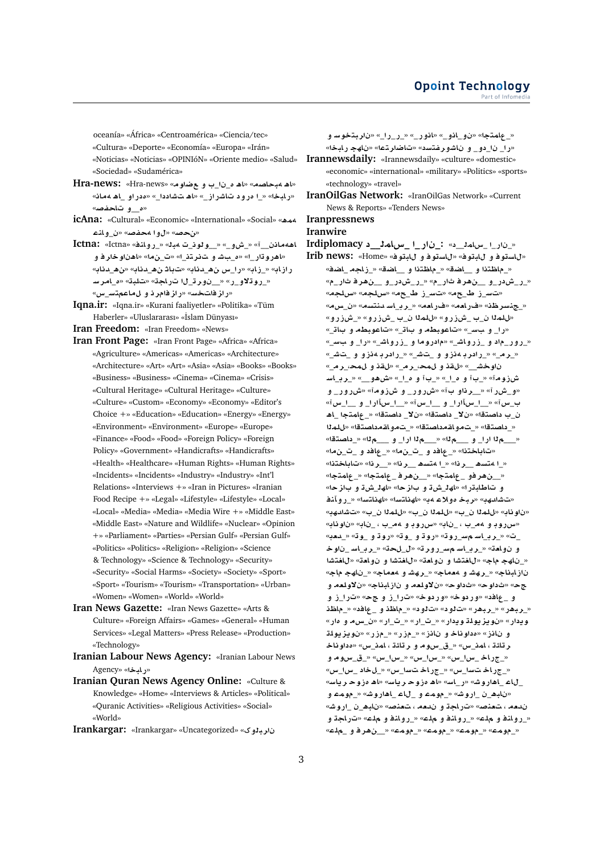oceanía» «África» «Centroamérica» «Ciencia/tec»

«Cultura» «Deporte» «Economía» «Europa» «Irán»

«Noticias» «Noticias» «OPINIóN» «Oriente medio» «Salud» «Sociedad» «Sudamérica»

- «اه ۹بحاصه» «اه ه\_نا\_ب و عضاوم» «Hr**a-news: «Hra-news** «رابخا» « ا مرود تاشراز\_» «اه تشاددا\_» «مدر او\_اه ممانه «**ه و تاحفص**»
- **icAna:** «Cultural» «Economic» «International» «Social» « **nA¤**\_» «**}f¢ ¤**» «**}**»
- **Ictna:** «Ictna» «**nA¤C**\_» «**b¢** \_**ww**\_\_» «\_**¤M**\_» «\_\_ **A¢¡A** «اهر و ڌار\_ا» «ه\_ب*تش* و ت**تفريت**د\_ا» «ت\_ن4ا» «اهناو خار فاو «**Ad**\_**¡**» «**Ad**\_**¡ A** » «**Ad**\_**¡ x**\_**C**» «**AE**\_» «**AEC** «\_روتلاو\_ر» «\_\_نورت\_ل اتراجة» «تلبة» «م\_امرسـ «ر از فاتخ*س*» «راز فامر ذاو لماعمت*س* س»
- **Iqna.ir:** «Iqna.ir» «Kurani faaliyetler» «Politika» «Tüm Haberler» «Uluslararası» «İslam Dünyası»

**Iran Freedom:** «Iran Freedom» «News»

- **Iran Front Page:** «Iran Front Page» «Africa» «Africa» «Agriculture» «Americas» «Americas» «Architecture» «Architecture» «Art» «Art» «Asia» «Asia» «Books» «Books» «Business» «Business» «Cinema» «Cinema» «Crisis» «Cultural Heritage» «Cultural Heritage» «Culture» «Culture» «Custom» «Economy» «Economy» «Editor's Choice +» «Education» «Education» «Energy» «Energy» «Environment» «Environment» «Europe» «Europe» «Finance» «Food» «Food» «Foreign Policy» «Foreign Policy» «Government» «Handicrafts» «Handicrafts» «Health» «Healthcare» «Human Rights» «Human Rights» «Incidents» «Incidents» «Industry» «Industry» «Int'l Relations» «Interviews +» «Iran in Pictures» «Iranian Food Recipe +» «Legal» «Lifestyle» «Lifestyle» «Local» «Local» «Media» «Media» «Media Wire +» «Middle East» «Middle East» «Nature and Wildlife» «Nuclear» «Opinion +» «Parliament» «Parties» «Persian Gulf» «Persian Gulf» «Politics» «Politics» «Religion» «Religion» «Science & Technology» «Science & Technology» «Security» «Security» «Social Harms» «Society» «Society» «Sport» «Sport» «Tourism» «Tourism» «Transportation» «Urban» «Women» «Women» «World» «World»
- **Iran News Gazette:** «Iran News Gazette» «Arts & Culture» «Foreign Affairs» «Games» «General» «Human Services» «Legal Matters» «Press Release» «Production» «Technology»
- **Iranian Labour News Agency:** «Iranian Labour News Agency» «**bAC**»
- **Iranian Quran News Agency Online:** «Culture & Knowledge» «Home» «Interviews & Articles» «Political» «Quranic Activities» «Religious Activities» «Social» «World»

**Irankargar:** «Irankargar» «Uncategorized» « **¤br** 

**¤ Fwtbr** » «\_**C**\_**C**\_» «\_**C¤A**» «\_**¤A**\_**¤** » «**tmA**\_» «را\_ نا\_دو\_ و ناشورفتسد» «تاضارتها» «ناهج رابخا» **Irannewsdaily:** «Irannewsdaily» «culture» «domestic» «economic» «international» «military» «Politics» «sports» «technology» «travel» **IranOilGas Network:** «IranOilGas Network» «Current News & Reports» «Tenders News» **Iranpressnews Iranwire Irdiplomacy \_\_mAx\_ \_C \_:** «\_\_**mAx**\_ \_**C** \_» «لالستوفو لابتوف» «لالستوفو و لابتوف» «Home» «irib news: «\_ماظتذا و \_\_اضة» «\_ماظتذا و \_\_اضة» «\_زاجه \_اضف» «\_ر\_شدر\_و\_\_\_نهر فاشار\_م» «\_ر\_شدر\_و\_\_\_نهر فاشار\_م» «بت<sub>ا</sub>سرز طريحه» «بتاسرز طريحه» «سلجه» «سلجه» «\_جنسر ظن» «فرامم» «فرامم» « رب اسدنتسم» «ن س.مه «بالمدا ن\_ب \_شزرو» «بالمدا ن\_ب \_شزرو» «\_شزرو» «را\_ و بس\_» «تاعوبطه و بات\_» «تاعوبطه و بات\_» «\_رور\_ماد و\_زرواش\_» «مادروما و\_زرواش\_» «را\_ و ببس\_» «\_رم\_» «\_رادر با دنزو و \_*تش\_*» «\_رادر با دنزو و \_تش\_» «\_**r**\_**,m ¤ q**» «\_**r**\_**,m ¤ q**» «\_\_**Jw FA**\_**r**\_» «\_\_**¤¡L**» «\_\_**£ ¤** \_» «\_\_**£ ¤** \_» «**wEM** «و\_ش ِر آ» «\_\_ر ذاو ب آ» «ش رو ر\_ و ش زومآ» «ش رو ر\_ و «**x**\_\_\_ **¤** \_**Cx**\_\_\_» «**x**\_\_\_ **¤** \_**Cx**\_\_\_» «**x**\_ ن\_ب داصتقا» «نلا\_ داصتقا» «نلا\_ داصتقا» «\_عامتجا \_اهـ «\_داصتقا» «\_تمو اقمداصتقا» «\_تمو اقمداصتقا» «للمذا «**tOA** \_» «\_\_\_ **¤** \_**C** \_\_\_» «\_\_\_ **¤** \_**C** \_\_\_» «تاباختذا» «\_عافد و \_ت\_ن.ه» «\_عافد و \_ت\_ن.*ه*ا» «**tAA**» «**r**\_\_» «**r**\_\_ **¡st¢** \_» «**r**\_\_ **¡st¢** \_» « \_ ن هر فو \_ علمتجا» « \_ ن هر ف \_ علمتجا» «\_ علمتجا» و تاطابـڌرا» «اهـ<sup>ز</sup>\_شڌ و بازحا» «اهـ<sup>ز\_</sup>شڌ و بازحا» «تشادهب» «ربخ مولاء مب» «لهناتسا» «لهناتسا» «\_روآنذ «ناو ناب» «للملا ن\_ب» «للملا ن\_ب» «للملا ن\_ب» «تشادهب» «**سرروڊ و 4م\_ب ، \_ناڊ» «سرروڊ و 4م\_ب ، \_ناڊ» «ناوڌاڊ»** «**`d**\_» «**w**\_ **¤ wC**» «**w**\_ **¤ wC**» «**wC**\_**F FA**\_**r**\_» «\_ **w** \_ **FA**\_**r**\_» «\_» «**r¤C**\_**F FA**\_**r**\_» «**`A¤ ¤** «\_ناهج ماج» «للغتشا و نولعة» «للغتشا و نولعة» «للغتشا «**A hA** \_» «**A`¢ ¤ Jhr**\_» «**A`¢ ¤ Jhr**\_» «**AbAE ¤ `lw¯** » «**AbAE ¤ `lw¯** » «**w** » «**w** » « **¤ E**\_**C**» « **¤ E**\_**C**» «**w C¤**» «**w C¤**» « **A**\_ **¤** «\_ربهر» «\_ربهر» «تالود» «تالود» «\_ماظذو \_عافد» «\_ماظذ و يدار» «نو يز يولة و يدار» «\_ت\_ار» «\_ت\_ار» «ن\_سه و آهار» **lw§z§w** » «**CE**\_» «**CE**\_» «**EA ¤ Aw £**» «**EA ¤** ر تائڌ ، امذ\_س» «\_ق\_سوم و ر تائڌ ، امذ\_س» «ەداو ناخ **¤ wx**\_\_» «**x**\_**x**\_» «**x**\_**x**\_» «**x**\_**x**\_ **AC**\_» «\_جراخات سا\_س» «\_جراخات سا\_س» «\_ل خاد \_سا\_س» \_لاء \_اهار وش» «ر\_اس» «اهـ مزوحـ رياس» «اهـ مزوحـ رياس» **¤ mw**\_» «**JwC¡A**\_ **A**\_ **¤ mw**\_» «**JwC**\_ \_**¡bA** » ندمه ، تعنصه «تراجة و ندمه ، تعنصه «ناب<u>ه ن ارو</u>شه « روانهٔ و ملاع» « روانهٔ و ملاع» « روانهٔ و مل*اع*» «تاراجة و «**l**\_ **¤ r¡**\_\_» «**mw**\_» «**mw**\_» «**mw**\_» «**mw**\_»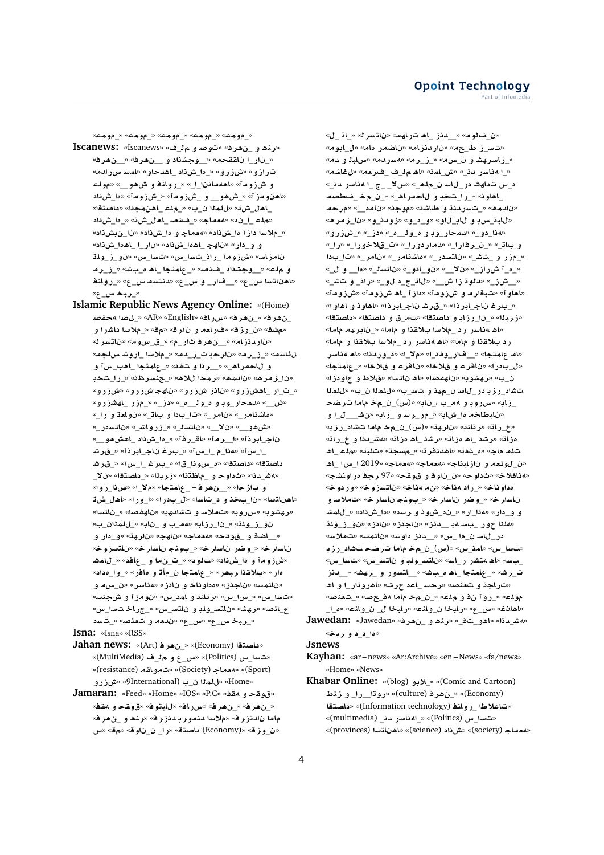«**mw**\_» «**mw**\_» «**mw**\_» «**mw**\_» «**mw**\_»

- **Iscanews:** «Iscanews» «\_ **¤ }w**» «**r¡**\_ **¤ ¡nr**» «\_نار\_ا ناققحه» «\_وجشناد و \_\_نهرف» «\_\_نهرف» «**dCx FmA**» «**¤d¡A**\_ **L**\_**£**\_» «**¤CEM**» «**¤EC** و شزومآ» «اههمانن <u>ال» « روانه و ش هو \_</u>» «مولم «اهنومز آ» «\_ش *هو\_\_ و \_ش*زومآ» «\_شزومآ» «ها\_شiاد \_اهـل\_شE» «للمـلـا ن\_ب» «\_ملـم \_اهـنمجـذا» «داصـتـقـا»  **L**\_**£**\_» «**L**\_**¡A**\_ **}n**\_» «**A`¢**» «\_\_ **l**» «\_ملاسا داز آ ها\_شiد» «**هعماج و ها\_شiد» «نا\_ن**بشiد» « **L**\_**£¡A**\_ \_**C** » « **L**\_**£¡A**\_ **hA** » «**C** \_**¤ ¤ lw**\_**E**\_**¤** » «**x**\_**F** » «**x**\_**F** \_**ÐC**\_ **wEM**» «**FAEA r**\_**E**\_» «**J** \_**£ ¡A**\_ **tmA**\_» «**}n**\_ **Kw**\_\_» «**l ¤** «اهناتسا س\_ع» «\_فار\_ و س\_ع» «دنتسه س\_ع» «\_روان<mark>ف</mark> **∢بہخس ع**»
- **Islamic Republic News Agency Online:** «(Home) **}f¢ }**\_» «AR» «English» «**ACx**» «**r¡**\_» «**r¡**\_ «م شق» «ن\_وز ق» «فرامه و ن آر ق» «مق» «\_ملاسا داشرا و «ناردنزام» «\_ن«\_غرفاتار\_م» «\_ق\_سوم» «ناتسرك «**lH JwC**\_ **F®**\_» «**d**\_**C**\_ **r** » «**r**\_**E**\_» «**sA¶** و اللحمر اه\_» «\_\_رذا و شفذ» «\_عامتجا \_اهب\_س آ و «نا\_زمر ه» «نادمه» «رمحا للاه» «\_جنسرظنه «\_را\_شخدِ «\_ت\_ار \_اهشزرو» «نانز شiرو» «ناهج شزرو» «شزرو» «<u>ش\_\_» «نمحار وباو ماولا م\_» «دز\_» «ام زر الهشزرو»</u> «ماشنامر\_» «نامر\_» «تا\_بدا و بات\_» «نوا**م**ة و را\_» «\_**C FtA** » «\_**JA¤CE**\_» «\_**stA** » «\_\_**¯** » «\_\_**¤¡L**» «\_\_**¤¡L¡A**\_ **L**\_**£**\_» «**r**\_**A**» «**r**\_\_» «**ÐCA**\_**A**  \_ا\_س آ» «4ذا\_م \_ا\_س آ» «\_بار غان\ج\_ابر ذآ» «\_قار *ش*ا داصتقا» «داصتقا» «ه\_سو ذا\_قا» «\_بىر غـ\_ا\_س آ» «\_قر *ش*ـ \_**¯** » «**tOA** \_» «**brE**» «**t\A**\_ **¤ w** » «**d**\_**J¢**» «**¤C**\_**H**» «\_**¯**» «**tmA**\_ – **r¡**\_\_» «**z ¤** «اهناتسا» «نا\_بخذ و د\_تاسا» «ل\_بدرا» «ا\_ورا» «اهل\_شة «رهشوب» «سرروب» «تملاس *و* تشادهب» «ناهفصل» «\_ناتسك «\_ **ml**\_» «**A** \_ **¤** \_**¢**» «**AEC**\_\_» «**lw**\_**E**\_**¤ ¤ C** \_**¤**» «**hr** » «**hA** » «**A`¢**» «**qw**\_ **¤ SA**\_\_» ناسار خ» «\_وضر ناسار خ» «\_بونج ناسار خ» «ناتسزوخ» «شزومآ و دا\_شذاد» «ت**لود» «\_ت\_ن**ما و \_عافد» «\_للمشـ هار» «بـالاقـذا ربـِهر» «\_عِلمتجا ن\_مِأتـ و\_مافر» «\_وا\_مداد» «نانمس» «ناجذز» «مداوناخ و نانز» «مناسر» «ن\_س.م و «تسا\_س» «\_س|\_س» «رتلئة و امذ\_س» «نومز آ و شجنسه» ع\_انص» «رهشه «ناتس\_ولدٍ و ناتس\_س» «\_جراخ تسا\_س» «\_ربخ*س\_ع» «س\_ع» «ندمه و تعذصه «\_تسد*

### **Isna:** «Isna» «RSS»

- **Jahan news:** «(Art) **r¡**\_» «(Economy) **tOA** » «ت**سا\_س (Politics)» «س\_ع و م ِق\_ف (MultiMedia)»** «(resistance) **qA¤** » «(Society) **A`¢**» «(Sport) «<del>Jome» «للملا ن\_ب (Pinternational» «ش</del>زرو
- **Jamaran:** «Feed» «Home» «IOS» «P.C» «**q¢ ¤ qw**» «\_نهر ف» «\_ن هر ف» «سرر اف» «ل<mark>اب</mark>تو ف» «قوقح و مقف» ماما نالدنزرف» «ملاسا للتمورية لانزرف» «رنتط و \_نهرف» **x**» «» «**w** \_ \_**C**» «**tOA** (Economy)» «**z¤**\_»

«\_ **A**\_» «**rFtA** » «**hAC ¡A**\_ **Ed**\_\_» «**w**\_» «ت<sub>ا</sub>س\_ز ط\_جم» «ناردنزام» «ناضمر مام» «ل\_ابوم» «\_زاسرهشاو ن\_س۵» «\_ز\_راه» «هسرده» «سابل و دمه «\_ا 4 ناسر ـدن\_» «ش\_امن» «اھــم1\_ف\_فـرحم» «ل**غاش**م» «\_**d CFA¢** \_ \_ \_**¯x**» «\_**¡l**\_ **FA**\_**C JhA x**\_ اهاون» « را تخد و للحمراه » « ن مخ فعطصه «ن|ادمه» «\_تاسر دنة و اطاشة» «موجة» «ن|امد\_\_» «مرحم «**¡rz**\_» «**¤**\_**d¤E**» «**¤**\_\_**¤**» «**¤**\_**A ¤ H**\_**bA**» «**هذا\_دو\_» «دمحار\_وڊ و ه\_و ل**\_م\_» «دز\_» «\_شزرو» «\_**C**» «\_**C¤®**\_» «\_**C¤ Cd**» «\_**Cr**\_\_» «\_**A ¤** «\_مزر و \_تـش\_» «ناتسدر\_» «ماشنامر\_» «نامر\_» «تا\_بدا «\_ **¤** \_\_**£**» «\_**stA** » «\_**¤A**\_**¤** » «\_\_**¯** » «\_**ECM** \_**£**\_» «\_\_ش(\_» «دائو ڌ زاش\_\_» «ل**اڌ\_ج\_د ل**و\_» «راذ\_ و تشش\_» «اهاو آ» «ت<mark>بقار م و شi و مآ» «داز آ \_اه شزو مآ» «شزو مآ»</mark> «\_بـرغ ناج\_ابر ذآ» «\_قر *شـ ن*اج\_ابر ذآ» «اهاو ذ و اهاو آ» «زربنا» «\_ن ارزاد و داصتقا» «ت م\_ق و داصتقا» «داصتقا» «اهـ ۵ *داس*ر رد \_ملاسا بالاقذا و ماما» «\_نابرهم ماما» رد بلاقذا و ماما» «اهـ **ه**ناسر رد \_ملاسا بلاقذا و ماما» «ام عامتجا» «\_\_فار \_وغذ\_ا» «ملا\_ا» «د\_وردنا» «اهـ مناسر «ل\_بدر ا» «نافر ع و قلاخا» «نافر ع و قلاخا» «\_عامتجا» ن\_ب» «ر هشو به «ناهفصه» «اه ناتسه» «قلاط و جاو دز ا» تشاد\_ر ز بـ در\_لاســ ن\_مهذ و ـتـس\_ب» «للملا ن\_ب» «للملا \_ز.اب» «سرروڊ و 4م\_ب ،\_ناب» «(س)\_ن\_م**خ م**اما تـرضح **¤** \_\_\_\_**J**» «**AE**\_ **¤ Fr**\_**C**\_» «**AM**\_**£ AVbA** » «خ\_ر اتـ» «ر تائـتـ» «نار هـتـ» «(س)\_ن\_م خـ مامـا ـتـشـاد\_ر ز بـ» «**AC**\_ **¤ d**\_**J¢**» «**AE£ ¡A**\_ **Kr**» «**AE£ ¡A**\_ **Kr**» «**AE£ ¡A**\_ **l**» «**bl** » «**s**\_» «**rnd¡A**» «**@**\_**£**» «**A l ¡A**\_ **x**\_ 2019» «**A`¢**» «**A`¢**» «**AbAE ¤ `lw**\_» «**Aناقلاخ» «ثداوح» «ن\_ناوقو قوقح» «97 رجف مراونشج»** «**w C¤**» «**wEFtA** » «**A¢** » «**A¢ C**\_» «**Aw £** ناسار خ» «\_وضر ناسار خ» «\_بونج ناسار خ» «تـملاسـ و **JmA**\_» « **L**\_**£**» « **Fr ¤ wM**\_\_» «**C**\_**¢**» «**C** \_**¤ ¤** «**۱۱** مور ب سه ب \_\_ دنز » «ناجذز » «ناذز » «ن و \_ ز\_ و لمقد در\_لاسـ ن\_م \_\_س» «\_\_دنز\_داوسه «ناشمسه «تملاسه «بت $\mathbf{u}_\perp$ » «بامذ\_س» «(س)\_ن\_مخـ ماما تـرضحـ تـشاد\_رز بـ \_بِسِ» «اھ متشر ر\_اسه «ناتس\_ولڊ و ناتس\_س» «تسا\_س» ت\_ر ش» «\_علمتجا\_اھ م\_بشه» «\_\_اتسور و\_\_رهشه» «\_\_دنز «تار <mark>اج</mark>ڌ و لتعنص» «رحسا\_اعد حرشه «اهروڌار\_ا و اه «**}n`** \_» «**}**\_**¢ A** \_\_» «**l ¤ ¤C**\_» «**lw** «اهانـف» «س\_ ع» «رابـخا ن\_وانـه» «رابـخا ل\_ <u>ن\_و</u>انـه» «ه\_ا\_

**Jawedan:** «Jawedan» «**r¡**\_ **¤ ¡nr**» «\_\_**¤¡A**» «**d**\_**J¢**» «**br ¤** \_\_**£**»

#### **Jsnews**

- **Kayhan:** «ar news» «Ar:Archive» «en News» «fa/news» «Home» «News»
- **Khabar Online:** «(blog) **¤®**\_» «(Comic and Cartoon) **Vnz ¤** \_**C**\_\_**wC**» «(culture) **r¡**\_» «(Economy) **tOA** » «(Information technology) **nA¤C**\_ **V®A**» «ت**سدا س (Politics)» « اوناسر مان** (multimedia)» «(provinces) **FtA ¡A**» «(science) **L**» «(society) **A`¢**»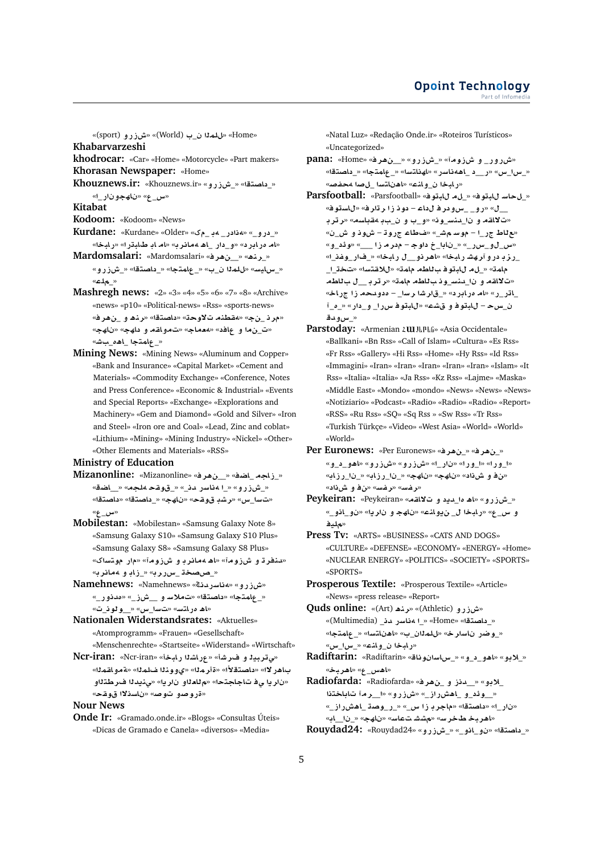«**Sport) » «للمذا ن\_ب (World)» «شزرو (sport**)» **Khabarvarzeshi**

- **khodrocar:** «Car» «Home» «Motorcycle» «Part makers» **Khorasan Newspaper:** «Home»
- « داصتقا» « شi ر و » «Khouznews.ir: «Khouznews.ir
- «<u>س\_</u> ع» «ناھجو نار\_ا»
- **Kitabat**
- **Kodoom:** «Kodoom» «News»
- **Kurdane:** «Kurdane» «Older» « \_ **¢** \_**C ¢**» «\_**¤C** \_» «ام دربابر د» «و\_دار\_باه مهانر ب» «ام ابا طاباتر ا» «ربابخا»
- **Mardomsalari:** «Mardomsalari» «**r¡**\_\_» «**¡nr**\_» «\_سايس» «للملا ن\_ب» «\_عامتجا» «\_داصتقا» «\_شزرو» «**l**\_»
- **Mashregh news:** «2» «3» «4» «5» «6» «7» «8» «Archive» «news» «p10» «Political-news» «Rss» «sports-news» «مر نـــنج» «<mark>مقطنه تالاوح</mark>ت» «داصتقا» «رناه و \_نهرف» «ت\_نِ ما و عافد» «معماج» «تمواقم و داهج» «ناهج» « **علمتج**ا اهه سش»
- **Mining News:** «Mining News» «Aluminum and Copper» «Bank and Insurance» «Capital Market» «Cement and Materials» «Commodity Exchange» «Conference, Notes and Press Conference» «Economic & Industrial» «Events and Special Reports» «Exchange» «Explorations and Machinery» «Gem and Diamond» «Gold and Silver» «Iron and Steel» «Iron ore and Coal» «Lead, Zinc and coblat» «Lithium» «Mining» «Mining Industry» «Nickel» «Other» «Other Elements and Materials» «RSS»

**Ministry of Education**

- **Mizanonline:** «Mizanonline» «**r¡**\_\_» «**SA**\_ **AE**\_» «\_ش(رو» «\_ا 4ناسر دن\_» «\_قوقح 4لجه» «\_\_اضق» «تسا\_س» «رشد قوقح» «ناهج» «\_داصتقا» «داصتقا» «\_**x**»
- **Mobilestan:** «Mobilestan» «Samsung Galaxy Note 8» «Samsung Galaxy S10» «Samsung Galaxy S10 Plus» «Samsung Galaxy S8» «Samsung Galaxy S8 Plus» «**د.نفر ت**او ش(وامآ» «اها معائر با و اش(وامآ» «مارا مولاساک» «<u>\_صصخة \_سرررب» « زاب</u> و 4مائرب*»*
- **Mamehnews:** «Namehnews» «شرزو» «هناسردنى» «\_عامتجا» «داصتقا» «ت**ملاسو \_\_شن\_» «مدنور\_»** «اه مراتس» «تسا\_س» «\_**\_ولون\_ت**»
- **Nationalen Widerstandsrates:** «Aktuelles» «Atomprogramm» «Frauen» «Gesellschaft»
- «Menschenrechte» «Startseite» «Widerstand» «Wirtschaft» «مى تربيد و ف رشأ» «عراشدا رابخأ» «N**cr-iran:** «Acr-iran»
- باهر لاا» «داصتقلأا» «ةأر ملاا» «ي.وو.نـلـا ضلمـلـا» «ةمـو القمـلـا» «نار يا ي<mark>ف تاجاجتحا» «م للعل</mark>او نار يا» «ي.نيدلا ف ر طتلاو «**قروصو توص**» «ناسذلاا قوقح»

**Nour News**

**Onde Ir:** «Gramado.onde.ir» «Blogs» «Consultas Úteis» «Dicas de Gramado e Canela» «diversos» «Media»

«Natal Luz» «Redação Onde.ir» «Roteiros Turísticos» «Uncategorized»

- **pana:** «Home» «**r¡**\_\_» «**¤CEM**\_» «**wEM ¤** \_**C¤CM**» «\_س\_\_\_» «ر\_\_د \_اههناسر» «لهناتسا» «\_عامتجا» «\_داصتقا» «**(** ابخا ن و انمه «اهناتسا للصا محفصه
- **Parsfootball:** «Parsfootball» «**wbA** \_» «**wbA FA**\_» ف» «رو\_ \_*س و*در فال داع - دو ذاز الر تار ف» «ل استوف» «ت**لاا**قه و نا\_ىنس\_ون» «و\_ب و ن\_بڊ مقباسه» «ر تر بـ «مع تاط ج ر\_ا – موسم ه ش\_» «ما طاع ج رو ت – ش و د و ش\_ن» «**¤**\_ **¶w**» «\_\_\_ **E r**  – **w** \_**A** \_» «\_**Cx**\_**¤**\_**x**» \_رز بـ در و آرهشـ رابـخا» «اهر نـو\_\_ل رابـخا» «\_فـار\_وغـنـ<sub>ـ</sub>ا» مامة» «\_لa للبقوف باللطم مامة» «للاغتسا» «تخت\_ا\_ «ت لااقه و نا\_دنس\_وذب للطه مامة» «رترب\_ل ب للطهـ ـاتر ـر» «ام مرابر د» «\_قارشا رسا\_ – مدودحم زا جراخ» \_**£**\_» «**C** \_**¤** \_**Cx wbA**» «**K ¤ wbA** – **H**\_ «\_*س*0ودق
- Parstoday: «Armenian *z ul* J<sub>k</sub><sup>p</sup>k<sub>6</sub>» «Asia Occidentale» «Ballkani» «Bn Rss» «Call of Islam» «Cultura» «Es Rss» «Fr Rss» «Gallery» «Hi Rss» «Home» «Hy Rss» «Id Rss» «Immagini» «Iran» «Iran» «Iran» «Iran» «Iran» «Islam» «It Rss» «Italia» «Italia» «Ja Rss» «Kz Rss» «Lajme» «Maska» «Middle East» «Mondo» «mondo» «News» «News» «News» «Notiziario» «Podcast» «Radio» «Radio» «Radio» «Report» «RSS» «Ru Rss» «SQ» «Sq Rss » «Sw Rss» «Tr Rss» «Turkish Türkçe» «Video» «West Asia» «World» «World» «World»
- **Per Euronews:** «Per Euronews» «**r¡**\_» «**r¡**\_» «ا\_ورا» «ا\_ورا» «نار\_ا» «شiزرو» «شiرو» «اهو\_د\_و» «من فو ش ذاد» «ناهج» «ناهج» «\_نا\_رزاب» «\_نا\_رزابه «**رغس» «رغس» «ن≜ و شi**د»
- **Peykeiran:** «Peykeiran» «**qA¯ ¤ §d**\_**£ ¡A**» «**¤CEM**\_» «\_**¤A**\_**¤** » «**§r ¤ hA** » «**nA¤§** \_ **bAC**» «\_**x ¤** «ملدف
- **Press Tv:** «ARTS» «BUSINESS» «CATS AND DOGS» «CULTURE» «DEFENSE» «ECONOMY» «ENERGY» «Home» «NUCLEAR ENERGY» «POLITICS» «SOCIETY» «SPORTS» «SPORTS»
- **Prosperous Textile:** «Prosperous Textile» «Article» «News» «press release» «Report»
- **Quds online:** «(Art) **¡nr**» «(Athletic) **¤CEM**» « داصتقا» «Home» « 1 مناسر دن (Multimedia) «\_وضر ناسار خ» «للملاان\_ب» «اهناتسا» «\_عامتجا» «**x**\_**x**\_» «**nA¤**\_ **bAC**»
- **Radiftarin:** «Radiftarin» «**Aw FAx**\_» «**¤**\_\_**¤¡A**» «**¤®**\_» «**اهس\_ع» «اهربخ**»
- **Radiofarda:** «Radiofarda» «**r¡**\_ **¤ Ed**\_\_» «**¤®**\_ «\_وئد\_و \_اهش راز\_» «شزرو» «ا\_رمآ تاباختذا «\_**ECM¡A**\_ **Ow**\_**C**\_» «\_**x E rA**» «**tOA** » «\_**C** » «اهربخ طخرس» «مششتعاسه «ناهج» «\_نا\_اب» **Rouydad24:** «Rouydad24» «**¤CEM**\_» «\_**¤A**\_**¤** » «**tOA** \_»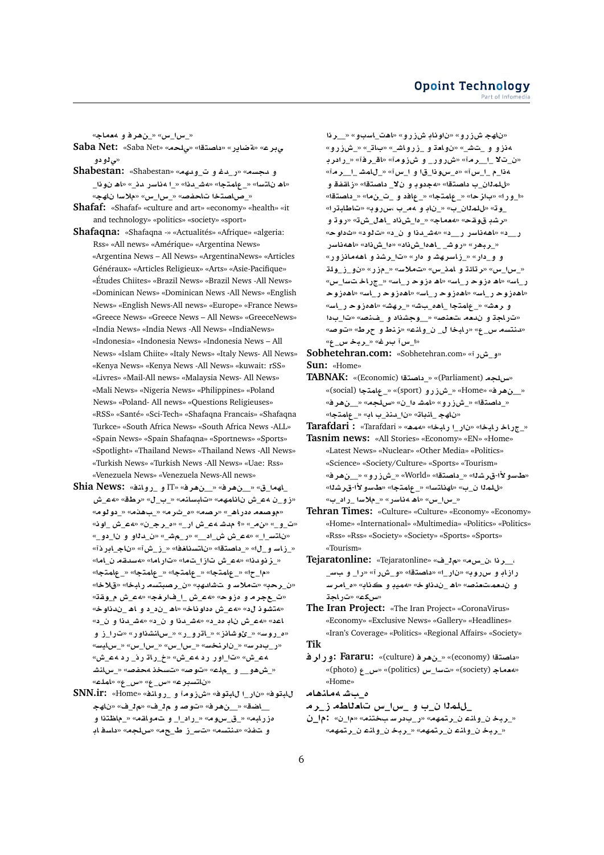«\_س|\_س» «\_**ن**ھرفو معماج»

- **Saba Net:** «Saba Net» «**l¨**» «**tOA** » «**C§ART**» «**r¨** «<sub>س</sub> ژو دو
- **Shabestan:** «Shabestan» «**hd¤**\_ **¤ d**\_**C**» «**sd ¤** «اه ناتسا» «\_عامتجا» «هش\_دنا» «\_ا مناسر ـدن\_» «اه نونا\_ «\_صاصتخا تاحفص» «\_سا\_س» «ملاسا ناهج»
- **Shafaf:** «Shafaf» «culture and art» «economy» «health» «it and technology» «politics» «society» «sport»
- **Shafaqna:** «Shafaqna -» «Actualités» «Afrique» «algeria: Rss» «All news» «Amérique» «Argentina News» «Argentina News – All News» «ArgentinaNews» «Articles Généraux» «Articles Religieux» «Arts» «Asie-Pacifique» «Études Chiites» «Brazil News» «Brazil News -All News» «Dominican News» «Dominican News -All News» «English News» «English News-All news» «Europe» «France News» «Greece News» «Greece News – All News» «GreeceNews» «India News» «India News -All News» «IndiaNews» «Indonesia» «Indonesia News» «Indonesia News – All News» «Islam Chiite» «Italy News» «Italy News- All News» «Kenya News» «Kenya News -All News» «kuwait: rSS» «Livres» «Mail-All news» «Malaysia News- All News» «Mali News» «Nigeria News» «Philippines» «Poland News» «Poland- All news» «Questions Religieuses» «RSS» «Santé» «Sci-Tech» «Shafaqna Francais» «Shafaqna Turkce» «South Africa News» «South Africa News -ALL» «Spain News» «Spain Shafaqna» «Sportnews» «Sports» «Spotlight» «Thailand News» «Thailand News -All News» «Turkish News» «Turkish News -All News» «Uae: Rss» «Venezuela News» «Venezuela News-All news»
- **Shia News:** «**nA¤C**\_ **¤** IT» «**r¡**\_\_» «**r¡**\_\_» «\_**hA**\_ «زو\_ن aع\_ش نانامهم» «تابسانم» «\_ب\_ل» «رطق» «aع\_ش «**موصعه ددر اه\_» «رصه» «ه\_شر م» «\_بهنه» «\_دو لوم»** «**w**\_ **M**\_**¢**» «\_**r**\_**£**» «\_**C M**\_**¢ Jd ?**» «\_» «\_**¤**\_» «\_**¤** \_ **¤ ¤d**\_» «\_**J**\_**C**» «\_\_\_**M M**\_**¢**» «\_\_**FtA** » «**ÐCA**\_**A** » «**M**\_**E**\_» «**AstA** » «**tOA** \_» «\_**¤ FAE**\_» «\_ز نودنا» «ه ع\_ش تاز ا\_تمه» «تار اما» «*هسدهم ن\_ام*ا» «م ا\_ح ا» «\_ع امتجا» «\_ع امتجا» «\_ع امتجا» «\_ع امتجا» «ن رحله» «تملاسه و تشاللهله» «ن رصبتسم رابخا» «قلاخا» «ت\_مجرمو مزوح» «4ع\_ش\_ا\_فار.فج» «4ع\_ش م\_وقة» «هتشوذ لد» «مص\_ش مداوناخ» «اه\_ند\_د و اه\_ندناوخ» «\_ **¤ d**\_**J¢**» «\_ **¤ d**\_**J¢**» «\_ **£ A M**\_**¢**» « **A ¤ E**\_**C**» «**C¤KnAx**\_» «**C**\_**¤CA**\_» «**EAJw¹**\_» «**FwC**\_**£**» «**FyAx**\_» «**x**\_**x**\_» «**x**\_**x**\_» «**Fnr** \_» «**Fr** \_**C**» «**M**\_**¢ C** \_**ÐC AC**\_» «**M**\_**¢ C C¤**\_» «**M**\_**¢** «\_ش هو\_\_ و \_ملـء» «توصه «تسخذ محفصه «\_سانشـ «**lmA**» «\_**x**» «\_**x**» «**rstA** »
- $\textbf{SNN}.\textbf{ir:} \ \ \text{\tiny \&}$ لابتوف» «نار\_ا للبتوف» «شزومـ ّ و \_روانـفـ» «Home»
- \_اضق» «\_\_ن هر ف» «توصه و م{\_ف» «م{\_ف» «ناهجـ  $\bullet$  وزرابه» «\_ق\_سومه» «\_راد\_ا\_ و تـهواقـه» «\_ماظـتـذا و و تفنه «دنتسه» «تس\_ز ط\_ح» «سلجه» «داسف ابـ

«ناهج شiر رو» «ناونابا شزر و» «اهت\_اسبو» «\_\_ر نا «**¤CEM**\_» «\_**A** » «\_**JA¤CE**\_ **¤ `A¤** » «\_**J** \_ **¤ ¤E¢** «ن\_ت<mark>ـلا \_ا\_\_\_ر مـ آ» «ش رو ر\_\_ و\_ ش زومـ آ» «اقـ\_ر فآ» «\_ر ادر بـ</mark> «**r**\_\_\_ **JmA**\_» «**x**\_ **¤** \_**wx**\_**£**» «**x**\_\_ \_**¢** «للملان\_ب داصتقا» «4جدو**بو نلا\_ داصتقا» «زاقف**قو «ا\_و را» «باز حا» «\_عامتجا» «\_عافد و \_ت\_ن.مه» «\_داصتقا» \_و ت» «للمدان\_ب» «\_نابا و لمم\_ب ،سرروب» «تاطابةرا» «رشد قوقح» «<mark>معماج» «\_دا\_شiدد \_اهل\_ش</mark>ة» «روڌ و «**w** » « **¤** » «\_ **¤ d**\_**J¢**» «\_\_**C CFA¢¡A**» «\_\_**C** «\_ربهر» «روش\_\_\_اهها\_شiاد» «ها\_شiاد» «اههناسر «**C¤EA¢¡A ¤ Kr**\_» «**C£ ¤ JhrFAE**\_» «**C** \_**¤ ¤** «\_سا\_س» «رتائة و امذ\_س» «تملاسه «\_مزر» «نو\_ز\_ولة «**x**\_**F
AC**\_» «**FA**\_**C wE£ ¡A**» «**FA**\_**C wE£ ¡A**» «**FA**\_**C** «اهەزوجار\_اس» «اهەزوجار\_اس» «اهەزوجار\_اس» «اهەزوجا «**FA**\_**C wE£¡A**» «**Jhr**\_» «**J** \_**£¡A**\_ **tmA**\_» «**J`r ¤** «تار اجة و اندهه التعنصه «\_\_وجشذاد و \_فالصه» «تا\_بادا «لمنت*سم س\_م»* «رابخا ل\_ ن\_وانم» «زنط و\_حرط» «توصه «ا\_سآ بارغ» «\_ربخا *س\_*ع»

**Sobhetehran.com:** «Sobhetehran.com» «**CM**\_**¤**» **Sun:** «Home»

**TABNAK:** «(Economic) **tOA** \_» «(Parliament) **lH**» «(social) **tmA**\_» «(sport) **¤CEM**\_» «Home» «**r¡**\_\_» «\_داصتقا» «\_ش(رو» «لمشـ ها\_ن» «سلجم» «\_\_ن هر فه «ناهج\_انبات» «نا\_دنذ\_ب اب» «\_عامتجا»

**Tarafdari :** «Tarafdari » «**¡m¢**» «**bAC** \_**C** » «**bAC AC**\_»

- **Tasnim news:** «All Stories» «Economy» «EN» «Home» «Latest News» «Nuclear» «Other Media» «Politics» «Science» «Society/Culture» «Sports» «Tourism» «هاسو لأا-قرشنا» «\_داصتقا» «World» «\_شزرو» «\_\_ن هرف» «للملا ن\_ب» «لهناتسا» «\_عامتجا» «طاسو لأا-قرشلاا» «\_س|\_س» «اھ 4فاسر» «\_ملاسا \_راد\_ب»
- **Tehran Times:** «Culture» «Culture» «Economy» «Economy» «Home» «International» «Multimedia» «Politics» «Politics» «Rss» «Rss» «Society» «Society» «Sports» «Sports» «Tourism»
- **Tejaratonline:** «Tejaratonline» «\_» «**H**\_ **, r**\_\_**,** \_**F ¤** \_**C**» «**CM**\_**¤**» «**tOA** » «\_**C** » «**wCx ¤ AEC** و ندممستمنصه «اھ \_ندناوخه «مميڊ و ڪنابه «م\_امر *س*ـ **AC**» «**kH**»
- **The Iran Project:** «The Iran Project» «CoronaVirus» «Economy» «Exclusive News» «Gallery» «Headlines» «Iran's Coverage» «Politics» «Regional Affairs» «Society»
- **Tik**
- **rC¤: Fararu:** «(culture) **r¡**\_» «(economy) **tOA** » «**Aa**» «(politics) «تسا\_س (politics)» «س\_ع (photo)» «Home»
- **A¡nA¢ J \_£**

\_للملا ن\_ب و \_*س١\_س* تامللطه ز\_ر م

«\_ربخ ن\_ولنـْـ ن\_رتمهم» «ر\_بـدرسـبـختنمـ» «م<sub>ا\_</sub>ن» :م|\_ن «\_ربخ ن\_ولنط ن\_رتمهم» «\_ربخ ن\_ولنط ن\_رتمهم»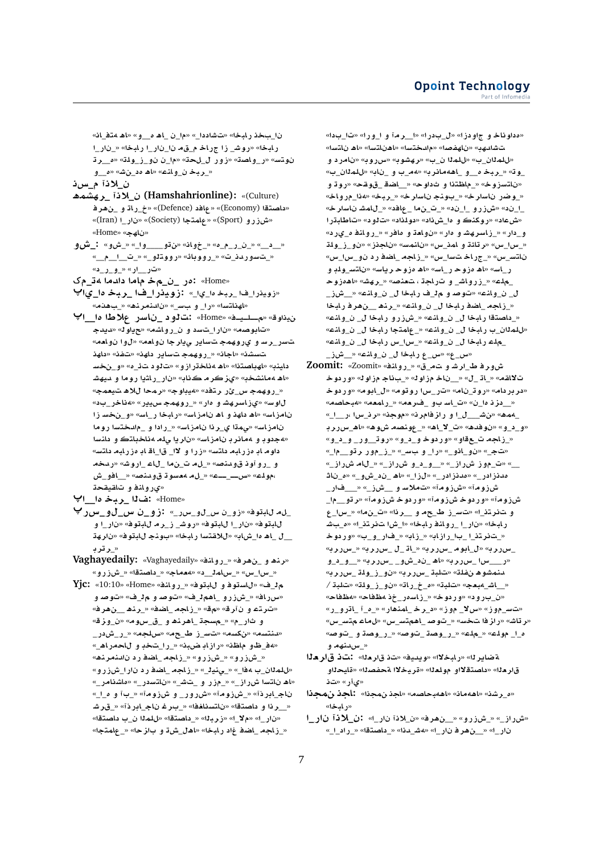نا\_بخذ رابخا» «تشاددا\_» «ما\_ن \_اهـ ه\_\_و» «اهـ متف\_انه رابخا» «روش\_ زا جراخ م\_قه نا\_نار\_ا رابخا» «\_نار\_ا نوتس» «ر\_واصة» «زور ل\_لحة» «م \_ن نو\_ز\_ولة» «ه\_\_رة «\_ربخ ن\_وانمه «اه مد\_ن شه» «ه\_و

ن لاذآم س.ذ

- (Culture): «Culture) ن لاذا رهشمه «داصتةا (Economy)» «عافد (Defence)» «خ\_راة و\_نهرف «شزرو (Sport)» «عامتجا (Society)» «نار\_ا (Iran)» «ناھج» «Home»
- «\_د\_» «\_ن\_ر\_م\_ه» «\_خوانه «نڌو\_\_\_وا\_» «\_شو» :\_ش و «\_تسوردذ\_ت» «\_رووبائه «رووتلو\_» «\_ت\_ ا\_م\_» «تر\_ار» «\_و\_ر\_د»
- «Home» :ەر \_ن\_مخ ماما دادما 4ت\_مک
- «زويذر ا\_فا \_ربخ ها\_يا\_» ;رويذر ا\_فا \_ربخ ها\_يا<sup>پ</sup> «اهذاتسا» «را\_ و بس\_» «نادنمرند» «\_بهدنم»
- ن يذاوقه «مسليدفه «Home» : تالود ناسر علاطا ها ال «تابوصه» «نار ا\_تسد و ن\_رواشه» «حياو له «ديدجـ تسر\_رساو اوروهمجاتساير وپيارجا نولغم» «لوا نولغم» تسشذ» «اجان» «\_روهمج تساير داهذ» «تفذ» «داهذ داينب» «اهباصتنا» «اهـ مناختر از و » «ت لو د تـدّ\_ه» «و\_نخسـ «اه 4مانشخب» «يز كر م كذاب» «نار\_راشيا روما و ميهشـ «\_روهمجاس\_ئر رتفد» «ميباوجه «رمحا للاه تيعمجه لاوس» «يزاسرهشاو ادر» «\_روهمجاسيير» «4ناخر\_بد» نامزاسه «اه داهذ و اه نامزاسه «رابخا ر\_اسه «و\_نخسرزا نامزاس» «يمةا ي\_ر ذا نامزاسه» «\_ر ادا و \_مادختسا روما «4جدو بو 4مانر با مزاسه» «نار يا پله 4ناخباتڪ و دانسا داوم ابـ دز رابـهـ داتـس» «ز را و الاا\_ قا\_اقـابـ دز رابـهـ داتـس» و \_رو آوذ قودنصه» «\_ل ما ت\_ن ما \_ل اع \_اروشه» «ردخه ،مولد» «س\_\_\_\_\_» «\_ل.م معسود ق و دنصه «\_\_افو\_ش «ي(وانفو تاقيقحة
- «Home» :فال \_ربـخـ ها\_\_ا<sup>پ</sup>
- \_ل.م ل\بتوف» «زو\_ن س\_لو\_س.ر\_» :زو\_ن س\_لو\_س.ر <sup>پ</sup> ل ابتوف» «ن ارال ابتوف» «روشاز رمال بتوف» «ن اراو \_ل\_اهـ ها\_شاب» «للاقتسا رابخا» «بونجـ للبتوف» «نارهة « رتر د
- Vaghayedaily: «Vaghayedaily» «رنه و نهرفه «روانفه» «\_س\_س» «\_سلمل\_\_د» «همملج» «\_داصتقا» «\_شزرو»
- Yjc: «10:10» «Home» «روانفه «\_روانف» «Home» (10:10» --«سرراف» «\_شزرو\_اهم ل\_ف» «توصه و م ل\_ف» «توصه و «تارتاء و ان آراق» «مق» «\_زاجه \_اضافه» «\_رناها \_\_ناهرافه و ثار\_م» «\_مسجة \_اهرنم و \_ق\_سوم» «ن\_وزقه «دىنتسەم» «نكسە» «تەس<sub>ە</sub>ز ط<sub>ە</sub>ع¤» «سµجە» «\_ر\_شدر\_ «4ف\_ظـو ماظن» «رازابـضبنه «\_را\_سّخبـ و للحمراه\_» «\_شزرو» «\_شزرو» «\_زاجه\_\_اضفارد نادنمرنمه «للمذان\_ب مفا\_» «\_ينيذ\_» «\_زاجه \_اضفار دانار ا\_شiر رو «اه ناتسا شراز\_» «\_مزر و \_شش\_» «ناتسدر\_» «ماشنامر\_» ناج\_ابرذآ» «\_شزومآ» «شررور\_ و شزومآ» «\_بi و م\_ا\_» «\_\_رِ ذا و داصتقا» «ناتسنافـفا» «\_بـر غـ ناج\_ابر ذآ» «\_قر شــ «نار\_ا» «ملا\_ا» «زربة!» «\_داصتقا» «للمةا ن\_ب داصتقا» «\_زلجه\_لضف غاد رلبخا» «اهل\_شة و بازحا» «\_علمتجا»

«مداو ناخ و ج|و دز ا» «ل\_بادر ا» «ا\_\_ر مـ آ و ۱\_و ر ا» «تا\_بادا» تشادهب» «ناهفصا» «مادختسا» «اهناتسا» «اه ناتسا» «للمدان\_ب» «للمدان\_ب» «رهشوبه «سرروبه «نامرد و \_وت» «\_ربخا م\_\_و \_اههمانرب» «4م\_ب و \_نابه «للملاان\_ب» «ناتسزوخ» «\_ماظتنا و ثداوح» «\_\_اضة\_قوقح» «روتو « وضر ناسارخ» « بونج ناسارخه « ربخه «4نا مرواخه ا\_ند» «ش زرو \_ا\_ند» «\_ت\_ن ما \_عافد» «\_للمشان اسار خه «شءاد» «روکنڪ و ها\_شذاد» «دولمذاد» «ت1و د» «تاطابـڌر ا و\_دار.» «\_زاسرهشاو ادر.» «نواهة و مافر.» «\_روانفا م\_ي رد» «\_س|\_س» «رتائة و امذ\_س» «نانمس» «ناجذز» «نو\_ز\_ولة ناتس\_س» «\_جراخ تسا\_س» «\_زاجه\_اضف رد نو\_س|\_س» ر\_اس» «اھ ەزو حار\_اس» «اھ ەزو حار ياس» «ناتس\_ولدٍ و \_مك» «\_زرواش\_ و تاراجة ، تعنصه «\_رهشه «اهدزوحـ ل\_ن\_ولنه» «توصرو م1\_ف رلبخا ل\_ن\_ولنه» «\_شi\_ «\_زاجه\_اضف رابخا ل\_ ن\_وانه» «\_رنف\_\_نفرف رابخا «\_داصتقا رابخا ل\_ن\_وانمه «\_شزرو\_رابخا ل\_ن\_وانمه «للمذان\_ب رابخا ل\_ ن\_وانك» «\_عامتجا رابخا ل\_ ن\_وانك» \_ملء رابخا ل\_ ن\_وانه» «\_سا\_س رابخا ل\_ ن\_وانه» «س\_ع» «س\_ع رابخا ل\_ ن\_وانمه «\_\_شز\_

- ش ورفاط ارشا وات ماق» «روانك» «Zoomit» 300mit: تالالقم» «\_اتا\_ل» «\_\_ناخامزاوله» «\_باناجامزاوله «وردوخا «در بر دام» «رو تانام» «تار \_س ارو تو مه «ل\_ابو مه «ور دو خا «\_\_دز نـ ه|\_ن» «ت\_اسـ بـو\_\_فـرحمه» «\_رامحمه «مبحاصمه» \_4مه» «نْ شَ\_\_\_ل\_ا و راز فامر نه «موجنه «رن\_سا ،ر\_\_ا\_» «و\_د\_و» «نوفده» «ت\_لا\_اه» «\_عونصه شوه» «اه\_س راربا «\_زاجه ت\_عقاو» «وردوخاو\_د\_و» «روت\_ ور\_ و\_د\_و» «تج\_» «نو\_اذو\_» «را\_ و بس\_» «\_ز\_مور رتو\_\_م|\_» \_» «ت\_موز ش راز\_» «\_و\_د\_و ش راز\_» «\_لاام ش راز\_» مدنزادر\_» «مدنزادر\_» «لزا\_» «اه \_ند\_شو\_» «م\_ناثـ شزومآ» «شزومآ» «تملاسو \_شز\_» «\_\_فار\_ شرزومآ» «وردوخا شرزومآ» «وردوخا شرزومآ» «راتو\_\_ما\_ و تفرتني» «تسرز طعم و \_رنا» «ت\_نما» «\_س\_ع رابخا» «نار\_ا\_روانة رابخا» «ا\_شا تفرتنيا» «م\_بشـ «\_تخر تذ\_ا\_با\_راز اب» «\_زابه «\_فار\_و\_ب» «وردوخـ \_س ولر به «ل\_ابوم\_س ولر به «\_اڌ\_ل\_س ولر به «\_س ولر به» «ر\_\_\_سا\_س راري» «اھ \_ن د\_ش و\_ \_س رارينه «\_\_ و\_د\_و منمشوه نفلة» «تلبة \_سررربه «نو\_ز\_ولة \_سررربه «\_اش\_مبعج» «تلبة» «ه\_خ\_راة» «ن و\_ز\_ولة» «تلبة/ «ن\_بارود» «وردوخه «\_زاسامر\_خذ مظفاحه «مظفاحه «ت $\mathfrak{u}_-$ موز» «سلا\_ موز» «د\_رخ\_امذهار» «\_م\_آ\_اترو\_ر» «ر تاش» «راز فا تخس» «\_توصـ \_اهمتس\_س» «لماعـمتس\_س» <u>ه ۱</u> مولم» «\_ملم» «\_ر\_وصة\_توصه» «\_ر\_وصة و\_توصه « س،دنهم و
- ةضاير له» «رابخلاا» «ويديفه «تذ قار دلا» : تذ قار دلا قار دلا» «داصتقلااو مولدلا» «قريخلاا محفصلله» «قايحلاو «يiر» «تذ
- «ە\_رشن» «اھەمان» «اھەبحاصە» «اجذ ن،مجذا» : اجذ ن،مجذا «د اسخا»
- «ش راز\_» «\_ش زرو» «\_\_ن هر فه «ن\_لاذا ن ار\_ا» : ن\_لاذا ن ار\_ا نار ا» « \_ن هر فانار ا» «هشدنا» « اداعتقا» « ارد ا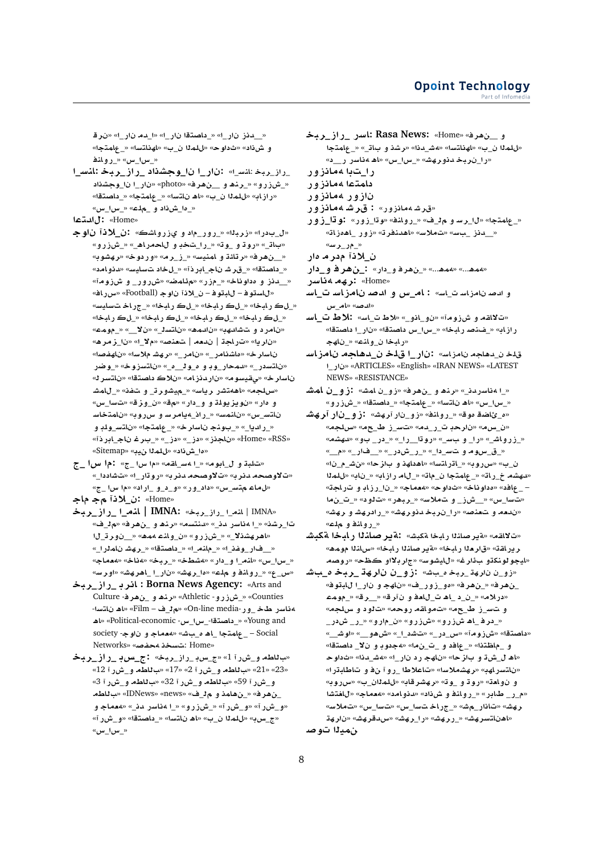«\_\_دذز\_ نار\_ا» «\_داصتقا\_نار\_ا» «ا\_دمـ نار\_ا» «نر قـ و شiاد» «ثداوح» «للملا ن\_ب» «اهذاتسا» «\_عامتجا» «\_س\_س» «\_روانه

- \_راز\_ربخ:انس\_ا» :نار\_ا نا\_وجشذاد \_راز\_ربخ:انس\_ا «\_شزرو» «\_رنده و \_\_ن هر فه «photo» «نار\_ا نا\_وجشذاد «رازابه «للملا ن\_ب» «اه ناتسا» «\_عامتجا» «\_داصتقا» «\_دا\_ش ذاد و \_ملاع» «\_س ا\_س»
- «Home» : ل المتعا
- «ل\_بدرا» «زربـنا» «\_رور\_م۱د و ي:زرواشڪ» :ن\_لاذآ ناوجـ «بات\_» «روتاو \_وته «\_را\_تخد و للحمراه\_» «\_شزرو» «\_\_نِ هر ف» «ر تائة و امنيسه» «\_ز\_ر مه «و ر دوخه «ر هشوب» «\_داصتقا» «\_قر شـــناج\_ابر ذآ» «\_ل خاد تـــسايســ» «دنو امـد» «\_\_دنز و مداوناخ» «\_مزر» «مئامضه «شررور\_ و شزومآ» «للستوف- للبتوف- ن\_لاذآ ناوج (Football» «س رافه» «\_ل ڪ رابخا» «\_ل ڪ رابخا» «\_ل ڪ رابخا» «\_ج راخ ت سايسه «\_ل ک ر ابخا» «\_ل ک ر ابخا» «\_ل ک ر ابخا» «\_ل ک ر ابخا» «نامر د و تشادهب» «نادمه» «ناتسه\_» «نلا\_» «\_مومه» «نار يا» «تار اجة | ندمه | شعنصه «ملا ا» «نا از مراه» ناسار خ» «ماشنامر\_» «نامر\_» «رهشـ ملاسا» «ناهفصا» «ناټسدر\_» «دمحار\_وڊ و او د\_اه\_» «ناټسزوخه» «\_وضر ناسار خ» «يقيسوم» «ناردنزام» «نلاك داصتقا» «ناتسر كه «سلجه» «اههتشر رياسه «\_ميشورت\_ و تفنه «\_للمشـ و هار.» «نویزیولة و و\_دار.» «مق» «ن\_وزقه «تسا\_س» ناتس\_س» «نائمسه» «\_راذ\_ميامرسو سرروبه «نامتخاسـ «\_راديا\_» «\_بونج ناسار خه «\_عامتجا» «ناتس\_ولدٍ و «Home» «ناجذز» «دز\_» «دز\_» «\_برغ ناج\_ابر ذآ» «دا\_شذاد» «للمذا نيبه» «Sitemap»
- «تلبة ول\_ابومه» «\_المس\_القمه» «م اس اح» : م اس اح «تلاوصحه دنر به «تلاوصحه دنر به «رو تار\_ا» «تشاددا\_» «ل ماع م تس\_س» «داد\_و ر.» «و\_د\_و\_\_از اد» «م! س!\_ج» «Home» :ن\_لاذاً مجماجه
- «IMNA | المصرا \_راز\_ربخ» :IMNA | المصرا \_راز\_ربخـ تارشنه» «\_المناسر لان\_» «للنتسمه «رناه و \_ن هراف» «م ل\_ف» «اهر هشذلا\_» «\_ش زرو» «ن\_واند ممهه» «\_\_نورت\_ل ا «\_\_فار\_وفذ\_ا» «\_ملنم\_ا» «\_داصتقا» «\_رهشا نامذرا\_» «\_س\_س» «انم\_ا و\_دار» «هشطخ» «\_ربخ» «هناخ» «هعماجه «س\_ع» «\_رولنذ و آمد» «دا\_رهشه «نار\_ا\_اهرهشه «اورسه
- Borna News Agency: «Arts and : انرب \_راز\_ربخـ Counties» «\_شزرو- Athletic» «رنده و \_ن هر ف- Culture 4ناسر طخ\_ور-On-line media» «م1\_ف – Film» «اه ناتسا-Young and » «\_داصتقا-\_س ا\_س- Political-economic» «اه Society -\_ علمتجا \_اهـ ه\_بشه «معماجـ و ناوجـ- society «Home :تسخذ محفصه «Networks
- «باللطه و\_ش را 1» «ج\_س بـ راز\_ربخ» :ج\_س بـ \_ راز\_ربخـ «23» «12» «ب للطه و\_ش ر آ 2» «17» «ب للطه و\_ش ر آ 12» و\_شرر آ 59» «باللطه و\_شرر آ 32» «باللطه و\_شرر آ 3» \_نِ هر فَ» «\_نِ هامذ و ِ م ل\_فٌ» «news» «news» «بِ للطهـ «و\_شررآ» «و\_شررآ» «\_شزرو» «\_ا 4ناسر دن\_» «4حماج و «ج\_س به «ل لم لا ن\_ب» «اه ن التسا» «\_داصتقا» «و\_ش ر آ»  $\kappa_i$  س را س
- و \_ن هر فه «Home» : Rasa News: «Home» :اسر \_ر از \_ربخـ «للمذا ن\_ب» «اهذاتسا» «4ش\_دنا» «رشذ و بات\_» «\_عامتجا «را\_نربخدنورهش» «\_س|\_س» «اه مناسر ر\_\_د» راتبا ممانزور
- دامتما 4مانزور
- نازور ممانزور
- «قرشهمانزور» : قرشه مانزور
- 
- «\_عِلمتجا» «ل|\_رسـ و ـمِل\_ف» «\_رولنـفه «وتا\_زور» :و قا\_ز و ر «\_\_دنز \_بس» «تملاس» «اهدنفرته «زور \_اهەزاته «\_مړيرس»
- <u>ن لا</u>ذآ مدر ما ر
- «ممه...» «ممه...» «\_نِفرِ في دار» :\_نِفرِ في و\_دار
- «Home» :رهم مناسر
- و ادصانامزاسات\_اسه : ام\_س و ادصانامزاسات\_اسا «ادصه» «امر س
- «ت لااقه و ش زوماً» «ن و اذو » «لاط ت اسه : لاط ت اسه رازاب» «\_فـنصـ رابـخا» «\_سا\_س داصتـقا» «نار\_ا داصتـقا» «رابخا ن وانه» « ناهج
- قلخ ن\_دهاجه نامزاس» :نار\_ا ق4خ ن\_دهاجه نامزاسـ ARTICLES» «English» «IRAN NEWS» «LATEST»» «ناو\_ا NEWS» «RESISTANCE»
- «\_ا مناسردنـ\_» «رنم و \_نهرف» «زو\_ن امش» :زو\_ن امشـ «\_س\_س» «اه ناتسا» «\_عامتجا» «\_داصتقا» «\_شزرو»
- «ه\_ئاضة موق» «\_روانـف» «زو\_نار آرھش» :زو\_نار آرھشـ «ن\_س¤» «نارحدٍ ت\_ر\_ده» «تس\_ز\_ط\_ج¤» «سلجه» «\_زرواش\_» «را\_وببس\_» «روتا\_\_را\_» «\_در\_بو» «دهشم» «\_ق\_س و م و تســ دا\_» «\_ر\_ش در\_» «\_\_فار\_» «م\_\_» ن\_ب» «سرروبه «\_اتراتسا» «اهداهذ و باز حا» «نش\_م\_نا» «دهشه خ\_ر اته» «\_عامتجا ن\_ماته» «\_لام راز ابه» «\_نابه «للملا · \_عافد» «دداوناخ» «ثداوح» «معماج» «\_نا\_رزابـ و تـراجة» «تسا\_س» «\_ش ز\_ و تملاسه «\_ربهر» «ت لود» «\_ت\_ن ما «ندمه و تعنصه «را\_نربخ دنورهشه «\_رادرهشا و رهشه « روانه و ملء»
- «تلااقه» «ةير صاننا رابخا ةكبش». نةير صانال رابخا فكبش ريرافق» «قارهذا رابخا» «ةيرصلنذا رابخا» «سلنذا مومه» «ايجو لونکڌو بِ1ر غ» «ل!يشوس» «ڄار بـلااو ڪظح» «روصهـ
- «زو\_ن نارهة\_ربخام\_باش». :زاو\_ن نارهة\_ربخا م\_باشا \_ن هر فه «\_ن هر فه «هو\_زور\_ف» «ناهج و نار\_ا للهتوفه «درلام» «\_ن\_د\_اه ت\_للعفونآرق» «\_رق» «\_مومء و تسرز ط\_حم» «تمواقه روحه» «تارد و سلجه» «\_در فـ \_اھ شiز رو » «شزر رو » «ن\_مار و » «\_ر\_ ش در\_ «داصتقا» «شزومآ» «<u>س\_</u>در\_» «تشد\_ا\_» «ش *ه*و\_\_» «او ش\_\_» و \_ماظتنا» «\_عافد و \_ت\_ن.ما» «4جدوبـ و نلا\_ داصتقا» «اه ل\_ش2 و بازحا» «ناهج رد نار\_ا» «4ش\_دنا» «ثداوحـ «ناتسراهبه «رهشملاسا» «تاعلاطا \_روآ نفو تاطابةرا» و أوادت» «روة و \_وة» «رهشرقابه «للملاان\_ب» «سرروبه «م\_ر\_ طابر» «\_رولنذ و ش(ناد» «دنوامد» «همماج» «للغتشا رھش» «تاذار\_مِش» «\_جراخ تسا\_س» «تسا\_س» «تملاس» «اهناتسرهش» «\_ررهشه «را\_رهشه «س⊿قرهشه «نارهة نهدلاتوص
- 8